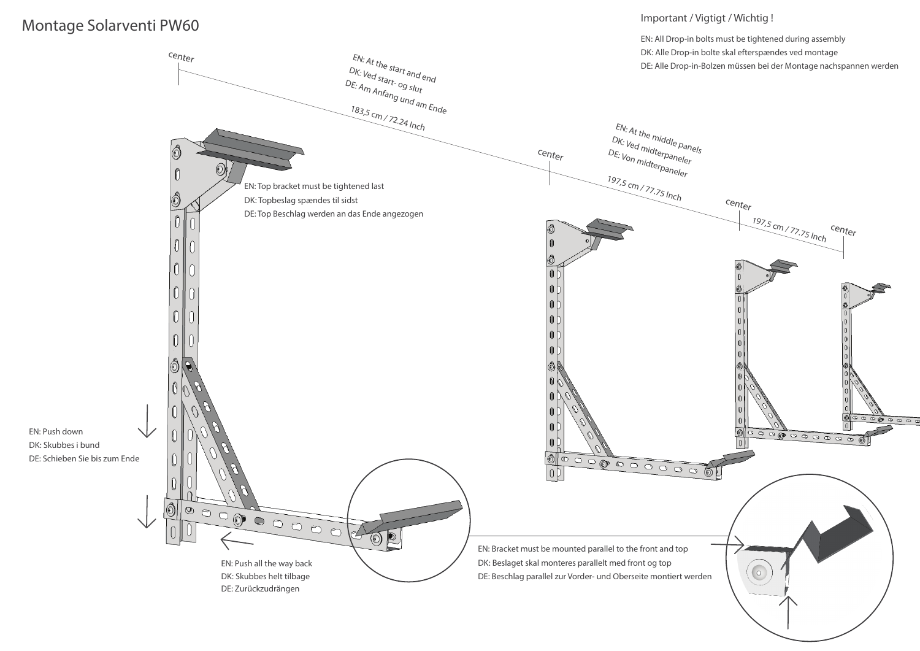## Montage Solarventi PW60

EN: Push down

## Important / Vigtigt / Wichtig !